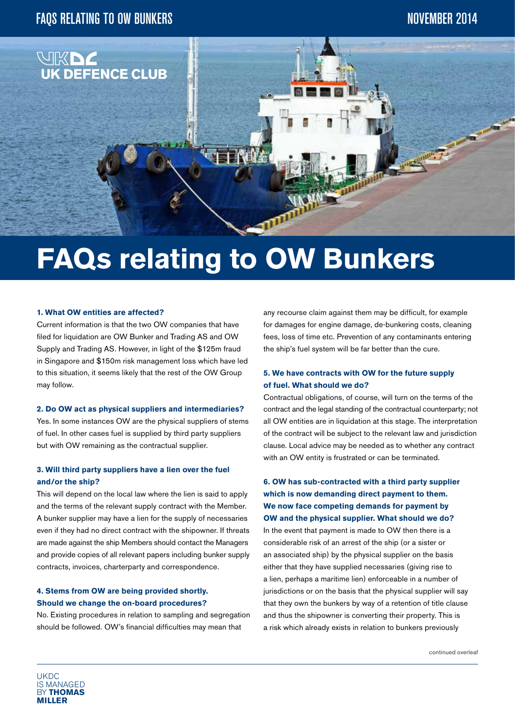

# **FAQs relating to OW Bunkers**

#### **1. What OW entities are affected?**

Current information is that the two OW companies that have filed for liquidation are OW Bunker and Trading AS and OW Supply and Trading AS. However, in light of the \$125m fraud in Singapore and \$150m risk management loss which have led to this situation, it seems likely that the rest of the OW Group may follow.

#### **2. Do OW act as physical suppliers and intermediaries?**

Yes. In some instances OW are the physical suppliers of stems of fuel. In other cases fuel is supplied by third party suppliers but with OW remaining as the contractual supplier.

# **3. Will third party suppliers have a lien over the fuel and/or the ship?**

This will depend on the local law where the lien is said to apply and the terms of the relevant supply contract with the Member. A bunker supplier may have a lien for the supply of necessaries even if they had no direct contract with the shipowner. If threats are made against the ship Members should contact the Managers and provide copies of all relevant papers including bunker supply contracts, invoices, charterparty and correspondence.

# **4. Stems from OW are being provided shortly. Should we change the on-board procedures?**

No. Existing procedures in relation to sampling and segregation should be followed. OW's financial difficulties may mean that

any recourse claim against them may be difficult, for example for damages for engine damage, de-bunkering costs, cleaning fees, loss of time etc. Prevention of any contaminants entering the ship's fuel system will be far better than the cure.

# **5. We have contracts with OW for the future supply of fuel. What should we do?**

Contractual obligations, of course, will turn on the terms of the contract and the legal standing of the contractual counterparty; not all OW entities are in liquidation at this stage. The interpretation of the contract will be subject to the relevant law and jurisdiction clause. Local advice may be needed as to whether any contract with an OW entity is frustrated or can be terminated.

**6. OW has sub-contracted with a third party supplier which is now demanding direct payment to them. We now face competing demands for payment by OW and the physical supplier. What should we do?** In the event that payment is made to OW then there is a considerable risk of an arrest of the ship (or a sister or an associated ship) by the physical supplier on the basis either that they have supplied necessaries (giving rise to a lien, perhaps a maritime lien) enforceable in a number of jurisdictions or on the basis that the physical supplier will say that they own the bunkers by way of a retention of title clause and thus the shipowner is converting their property. This is a risk which already exists in relation to bunkers previously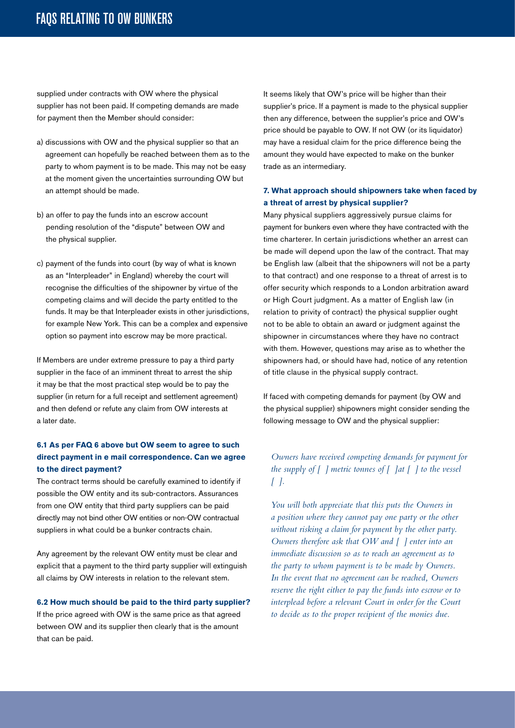supplied under contracts with OW where the physical supplier has not been paid. If competing demands are made for payment then the Member should consider:

- a) discussions with OW and the physical supplier so that an agreement can hopefully be reached between them as to the party to whom payment is to be made. This may not be easy at the moment given the uncertainties surrounding OW but an attempt should be made.
- b) an offer to pay the funds into an escrow account pending resolution of the "dispute" between OW and the physical supplier.
- c) payment of the funds into court (by way of what is known as an "Interpleader" in England) whereby the court will recognise the difficulties of the shipowner by virtue of the competing claims and will decide the party entitled to the funds. It may be that Interpleader exists in other jurisdictions, for example New York. This can be a complex and expensive option so payment into escrow may be more practical.

If Members are under extreme pressure to pay a third party supplier in the face of an imminent threat to arrest the ship it may be that the most practical step would be to pay the supplier (in return for a full receipt and settlement agreement) and then defend or refute any claim from OW interests at a later date.

# **6.1 As per FAQ 6 above but OW seem to agree to such direct payment in e mail correspondence. Can we agree to the direct payment?**

The contract terms should be carefully examined to identify if possible the OW entity and its sub-contractors. Assurances from one OW entity that third party suppliers can be paid directly may not bind other OW entities or non-OW contractual suppliers in what could be a bunker contracts chain.

Any agreement by the relevant OW entity must be clear and explicit that a payment to the third party supplier will extinguish all claims by OW interests in relation to the relevant stem.

#### **6.2 How much should be paid to the third party supplier?**

If the price agreed with OW is the same price as that agreed between OW and its supplier then clearly that is the amount that can be paid.

It seems likely that OW's price will be higher than their supplier's price. If a payment is made to the physical supplier then any difference, between the supplier's price and OW's price should be payable to OW. If not OW (or its liquidator) may have a residual claim for the price difference being the amount they would have expected to make on the bunker trade as an intermediary.

# **7. What approach should shipowners take when faced by a threat of arrest by physical supplier?**

Many physical suppliers aggressively pursue claims for payment for bunkers even where they have contracted with the time charterer. In certain jurisdictions whether an arrest can be made will depend upon the law of the contract. That may be English law (albeit that the shipowners will not be a party to that contract) and one response to a threat of arrest is to offer security which responds to a London arbitration award or High Court judgment. As a matter of English law (in relation to privity of contract) the physical supplier ought not to be able to obtain an award or judgment against the shipowner in circumstances where they have no contract with them. However, questions may arise as to whether the shipowners had, or should have had, notice of any retention of title clause in the physical supply contract.

If faced with competing demands for payment (by OW and the physical supplier) shipowners might consider sending the following message to OW and the physical supplier:

# *Owners have received competing demands for payment for the supply of [ ] metric tonnes of [ ]at [ ] to the vessel [ ].*

*You will both appreciate that this puts the Owners in a position where they cannot pay one party or the other without risking a claim for payment by the other party. Owners therefore ask that OW and [ ] enter into an immediate discussion so as to reach an agreement as to the party to whom payment is to be made by Owners. In the event that no agreement can be reached, Owners reserve the right either to pay the funds into escrow or to interplead before a relevant Court in order for the Court to decide as to the proper recipient of the monies due.*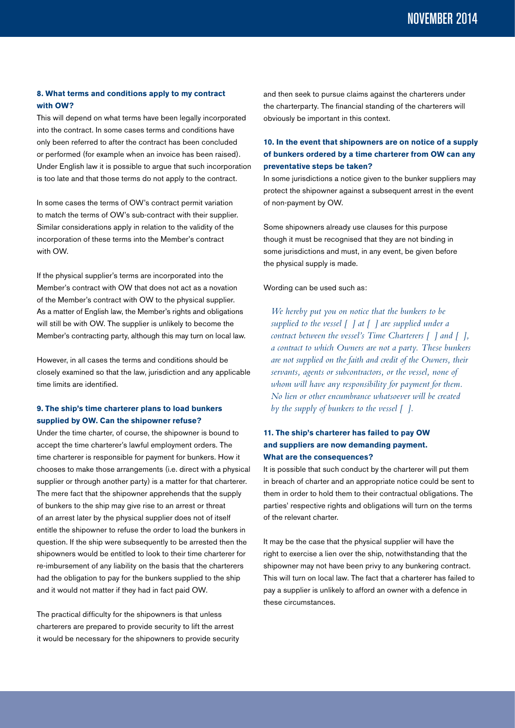# **8. What terms and conditions apply to my contract with OW?**

This will depend on what terms have been legally incorporated into the contract. In some cases terms and conditions have only been referred to after the contract has been concluded or performed (for example when an invoice has been raised). Under English law it is possible to argue that such incorporation is too late and that those terms do not apply to the contract.

In some cases the terms of OW's contract permit variation to match the terms of OW's sub-contract with their supplier. Similar considerations apply in relation to the validity of the incorporation of these terms into the Member's contract with OW.

If the physical supplier's terms are incorporated into the Member's contract with OW that does not act as a novation of the Member's contract with OW to the physical supplier. As a matter of English law, the Member's rights and obligations will still be with OW. The supplier is unlikely to become the Member's contracting party, although this may turn on local law.

However, in all cases the terms and conditions should be closely examined so that the law, jurisdiction and any applicable time limits are identified.

# **9. The ship's time charterer plans to load bunkers supplied by OW. Can the shipowner refuse?**

Under the time charter, of course, the shipowner is bound to accept the time charterer's lawful employment orders. The time charterer is responsible for payment for bunkers. How it chooses to make those arrangements (i.e. direct with a physical supplier or through another party) is a matter for that charterer. The mere fact that the shipowner apprehends that the supply of bunkers to the ship may give rise to an arrest or threat of an arrest later by the physical supplier does not of itself entitle the shipowner to refuse the order to load the bunkers in question. If the ship were subsequently to be arrested then the shipowners would be entitled to look to their time charterer for re-imbursement of any liability on the basis that the charterers had the obligation to pay for the bunkers supplied to the ship and it would not matter if they had in fact paid OW.

The practical difficulty for the shipowners is that unless charterers are prepared to provide security to lift the arrest it would be necessary for the shipowners to provide security and then seek to pursue claims against the charterers under the charterparty. The financial standing of the charterers will obviously be important in this context.

# **10. In the event that shipowners are on notice of a supply of bunkers ordered by a time charterer from OW can any preventative steps be taken?**

In some jurisdictions a notice given to the bunker suppliers may protect the shipowner against a subsequent arrest in the event of non-payment by OW.

Some shipowners already use clauses for this purpose though it must be recognised that they are not binding in some jurisdictions and must, in any event, be given before the physical supply is made.

Wording can be used such as:

*We hereby put you on notice that the bunkers to be supplied to the vessel [ ] at [ ] are supplied under a contract between the vessel's Time Charterers [ ] and [ ], a contract to which Owners are not a party. These bunkers are not supplied on the faith and credit of the Owners, their servants, agents or subcontractors, or the vessel, none of whom will have any responsibility for payment for them. No lien or other encumbrance whatsoever will be created by the supply of bunkers to the vessel [ ].*

# **11. The ship's charterer has failed to pay OW and suppliers are now demanding payment. What are the consequences?**

It is possible that such conduct by the charterer will put them in breach of charter and an appropriate notice could be sent to them in order to hold them to their contractual obligations. The parties' respective rights and obligations will turn on the terms of the relevant charter.

It may be the case that the physical supplier will have the right to exercise a lien over the ship, notwithstanding that the shipowner may not have been privy to any bunkering contract. This will turn on local law. The fact that a charterer has failed to pay a supplier is unlikely to afford an owner with a defence in these circumstances.